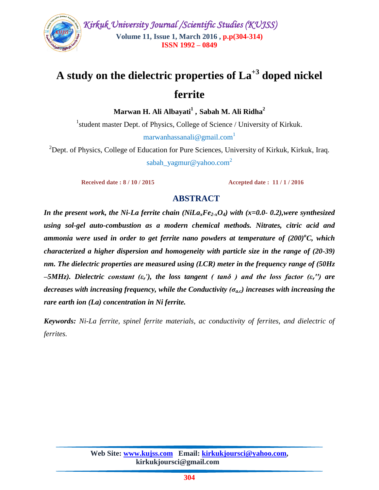

# **A study on the dielectric properties of La+3 doped nickel ferrite**

**Marwan H. Ali Albayati<sup>1</sup> , Sabah M. Ali Ridha<sup>2</sup>**

<sup>1</sup>student master Dept. of Physics, College of Science / University of Kirkuk. marwanhassanali@gmail.com<sup>1</sup>

<sup>2</sup>Dept. of Physics, College of Education for Pure Sciences, University of Kirkuk, Kirkuk, Iraq. sabah[\\_yagmur@yahoo.com](mailto:yagmur@yahoo.com)<sup>2</sup>

**Received date : 8 / 10 / 2015** Accepted date : 11 / 1 / 2016

## **ABSTRACT**

*In the present work, the Ni-La ferrite chain (NiLaxFe2-xO4) with (x=0.0- 0.2),were synthesized using sol-gel auto-combustion as a modern chemical methods. Nitrates, citric acid and*  diammonia were used in order to get ferrite nano powders at temperature of  $(200)^\circ C$ , which *characterized a higher dispersion and homogeneity with particle size in the range of (20-39) nm. The dielectric properties are measured using (LCR) meter in the frequency range of (50Hz –5MHz). Dielectric constant (εr'), the loss tangent ( tanδ ) and the loss factor (εr′′) are decreases with increasing frequency, while the Conductivity (ζa.c) increases with increasing the rare earth ion (La) concentration in Ni ferrite.*

*Keywords: Ni-La ferrite, spinel ferrite materials, ac conductivity of ferrites, and dielectric of ferrites.*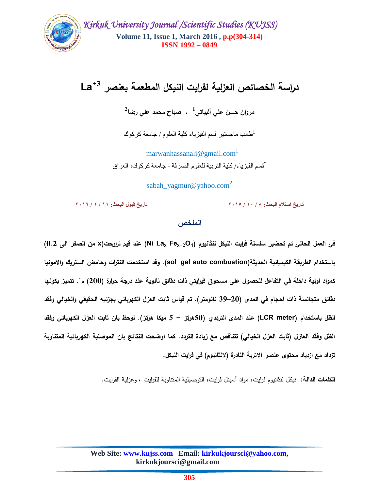

# **+3 دراسة الخصائص العزلية لفرايت النيكل المطعمة بعنصر La**

**1 مروان حسن عمي ألبياتي , صباح محمد عمي رضا 2**

طالب ماجستير قسم الفيزياء كلية العلوم / جامعة كركوك

marwanhassanali@gmail.com<sup>1</sup> 2 قسن الفيزياء/ كلية التربية للعلوم الصرفة - جاهعة كركوك, العراق

sabah[\\_yagmur@yahoo.com](mailto:yagmur@yahoo.com)<sup>2</sup>

**تاريخ استالم البحث: 8 / 01 / 5102 تاريخ قبول البحث: 00 / 0 / 5106**

# **الممخص**

**في العمل الحالي تم تحضير سمسمة فرايت النيكل لنثانيوم )4O-2Fe<sup>x</sup> Lax Ni )عند قيم تراوحت(x من الصفر الى 0.2) باستخدام الطريقة الكيميائية الحديثة(combustion auto gel-sol(. وقد استخدمت النترات وحامض الستريك واالمونيا**  كمواد اولية داخلة في التفاعل للحصول على مسحوق فيرايتي ذات دقائق نانوية عند درجة حرارة (200) م . تتميز بكونها **دقائق متجانسة ذات احجام في المدى )20–39 نانومتر(. تم قياس ثابت العزل الكهربائي بجزئيه الحقيقي والخيالي وفقد الظل باستخدام )meter LCR )عند المدى الترددي )50هرتز - 5 ميكا هرتز(. لوحظ بان ثابت العزل الكهربائي وفقد الظل وفقد العازل )ثابت العزل الخيالي( تتناقص مع زيادة التردد. كما اوضحت النتائج بان الموصمية الكهربائية المتناوبة تزداد مع ازدياد محتوى عنصر االتربة النادرة )النثانيوم( في فرايت النيكل.**

**الكممات الدالة:** نيكل لنثانيوم فرايت, مواد أسبنل فرايت, التوصيمية المتناوبة لمفرايت , و عزلية الفرايت.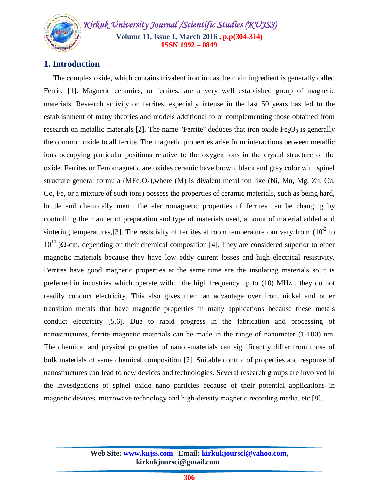*Kirkuk University Journal /Scientific Studies (KUJSS)*  **Volume 11, Issue 1, March 2016 , p.p(304-314) ISSN 1992 – 0849**

# **1. Introduction**

 The complex oxide, which contains trivalent iron ion as the main ingredient is generally called Ferrite [1]. Magnetic ceramics, or ferrites, are a very well established group of magnetic materials. Research activity on ferrites, especially intense in the last 50 years has led to the establishment of many theories and models additional to or complementing those obtained from research on metallic materials [2]. The name "Ferrite" deduces that iron oxide  $Fe<sub>2</sub>O<sub>3</sub>$  is generally the common oxide to all ferrite. The magnetic properties arise from interactions between metallic ions occupying particular positions relative to the oxygen ions in the crystal structure of the oxide. Ferrites or Ferromagnetic are oxides ceramic have brown, black and gray color with spinel structure general formula ( $MFe<sub>2</sub>O<sub>4</sub>$ ),where (M) is divalent metal ion like (Ni, Mn, Mg, Zn, Cu, Co, Fe, or a mixture of such ions) possess the properties of ceramic materials, such as being hard, brittle and chemically inert. The electromagnetic properties of ferrites can be changing by controlling the manner of preparation and type of materials used, amount of material added and sintering temperatures, [3]. The resistivity of ferrites at room temperature can vary from  $(10^{-2}$  to  $10^{11}$ )Ω-cm, depending on their chemical composition [4]. They are considered superior to other magnetic materials because they have low eddy current losses and high electrical resistivity. Ferrites have good magnetic properties at the same time are the insulating materials so it is preferred in industries which operate within the high frequency up to (10) MHz , they do not readily conduct electricity. This also gives them an advantage over iron, nickel and other transition metals that have magnetic properties in many applications because these metals conduct electricity [5,6]. Due to rapid progress in the fabrication and processing of nanostructures, ferrite magnetic materials can be made in the range of nanometer (1-100) nm. The chemical and physical properties of nano -materials can significantly differ from those of bulk materials of same chemical composition [7]. Suitable control of properties and response of nanostructures can lead to new devices and technologies. Several research groups are involved in the investigations of spinel oxide nano particles because of their potential applications in magnetic devices, microwave technology and high-density magnetic recording media, etc [8].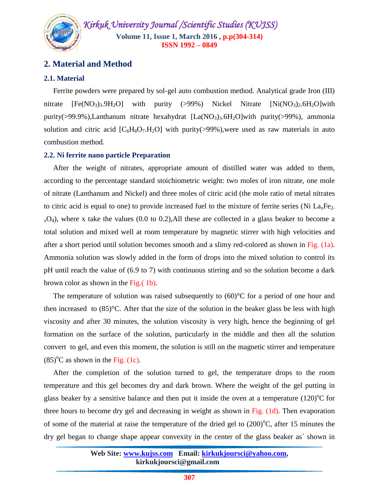

# **2. Material and Method**

#### **2.1. Material**

 Ferrite powders were prepared by sol-gel auto combustion method. Analytical grade Iron (III) nitrate  $[Fe(NO<sub>3</sub>)<sub>3</sub>, 9H<sub>2</sub>O]$  with purity (>99%) Nickel Nitrate  $[Ni(NO<sub>3</sub>)<sub>2</sub>, 6H<sub>2</sub>O]$  with purity(>99.9%),Lanthanum nitrate hexahydrat  $[La(NO<sub>3</sub>)<sub>3</sub>.6H<sub>2</sub>O]$ with purity(>99%), ammonia solution and citric acid  $[C_6H_8O_7.H_2O]$  with purity(>99%), were used as raw materials in auto combustion method.

#### **2.2. Ni ferrite nano particle Preparation**

 After the weight of nitrates, appropriate amount of distilled water was added to them, according to the percentage standard stoichiometric weight: two moles of iron nitrate, one mole of nitrate (Lanthanum and Nickel) and three moles of citric acid (the mole ratio of metal nitrates to citric acid is equal to one) to provide increased fuel to the mixture of ferrite series (Ni  $La<sub>x</sub>Fe<sub>2</sub>$ .  $_{x}O_4$ ), where x take the values (0.0 to 0.2), All these are collected in a glass beaker to become a total solution and mixed well at room temperature by magnetic stirrer with high velocities and after a short period until solution becomes smooth and a slimy red-colored as shown in Fig. (1a). Ammonia solution was slowly added in the form of drops into the mixed solution to control its pH until reach the value of (6.9 to 7) with continuous stirring and so the solution become a dark brown color as shown in the Fig.( 1b).

The temperature of solution was raised subsequently to  $(60)$ °C for a period of one hour and then increased to  $(85)$ <sup>o</sup>C. After that the size of the solution in the beaker glass be less with high viscosity and after 30 minutes, the solution viscosity is very high, hence the beginning of gel formation on the surface of the solution, particularly in the middle and then all the solution convert to gel, and even this moment, the solution is still on the magnetic stirrer and temperature  $(85)$ <sup>o</sup>C as shown in the Fig. (1c).

 After the completion of the solution turned to gel, the temperature drops to the room temperature and this gel becomes dry and dark brown. Where the weight of the gel putting in glass beaker by a sensitive balance and then put it inside the oven at a temperature  $(120)$ <sup>o</sup>C for three hours to become dry gel and decreasing in weight as shown in Fig. (1d). Then evaporation of some of the material at raise the temperature of the dried gel to  $(200)$ <sup>o</sup>C, after 15 minutes the dry gel began to change shape appear convexity in the center of the glass beaker as` shown in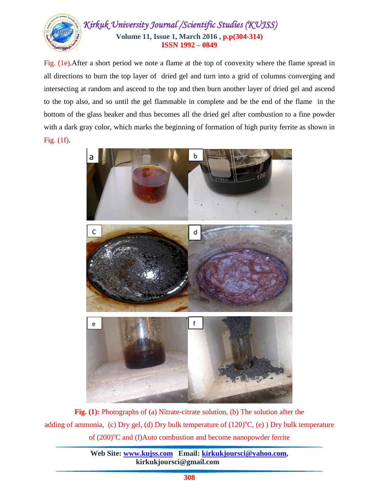

Fig. (1e).After a short period we note a flame at the top of convexity where the flame spread in all directions to burn the top layer of dried gel and turn into a grid of columns converging and intersecting at random and ascend to the top and then burn another layer of dried gel and ascend to the top also, and so until the gel flammable in complete and be the end of the flame in the bottom of the glass beaker and thus becomes all the dried gel after combustion to a fine powder with a dark gray color, which marks the beginning of formation of high purity ferrite as shown in Fig. (1f).



**Fig. (1):** Photographs of (a) Nitrate-citrate solution, (b) The solution after the adding of ammonia, (c) Dry gel, (d) Dry bulk temperature of  $(120)$ <sup>o</sup>C, (e)) Dry bulk temperature of (200)<sup>o</sup>C and (f)Auto combustion and become nanopowder ferrite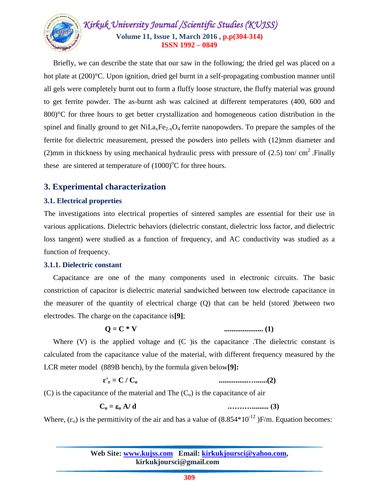

 Briefly, we can describe the state that our saw in the following; the dried gel was placed on a hot plate at (200)°C. Upon ignition, dried gel burnt in a self-propagating combustion manner until all gels were completely burnt out to form a fluffy loose structure, the fluffy material was ground to get ferrite powder. The as-burnt ash was calcined at different temperatures (400, 600 and 800)°C for three hours to get better crystallization and homogeneous cation distribution in the spinel and finally ground to get  $NiLa<sub>x</sub>Fe<sub>2x</sub>O<sub>4</sub>$  ferrite nanopowders. To prepare the samples of the ferrite for dielectric measurement, pressed the powders into pellets with (12)mm diameter and (2)mm in thickness by using mechanical hydraulic press with pressure of  $(2.5)$  ton/cm<sup>2</sup>.Finally these are sintered at temperature of  $(1000)$ <sup>o</sup>C for three hours.

# **3. Experimental characterization**

#### **3.1. Electrical properties**

The investigations into electrical properties of sintered samples are essential for their use in various applications. Dielectric behaviors (dielectric constant, dielectric loss factor, and dielectric loss tangent) were studied as a function of frequency, and AC conductivity was studied as a function of frequency.

#### **3.1.1. Dielectric constant**

 Capacitance are one of the many components used in electronic circuits. The basic constriction of capacitor is dielectric material sandwiched between tow electrode capacitance in the measurer of the quantity of electrical charge (Q) that can be held (stored )between two electrodes. The charge on the capacitance is**[9]**;

$$
Q = C * V
$$

#### **Q = C \* V ..................... (1)**

Where  $(V)$  is the applied voltage and  $(C)$  is the capacitance. The dielectric constant is calculated from the capacitance value of the material, with different frequency measured by the LCR meter model (889B bench), by the formula given below**[9]:**

**ɛ'<sup>r</sup> = C / Co ................…......(2)**

(C) is the capacitance of the material and The  $(C<sub>o</sub>)$  is the capacitance of air

**C<sup>o</sup> = <sup>o</sup> A/ d .………......... (3)**

Where,  $(\epsilon_0)$  is the permittivity of the air and has a value of  $(8.854*10^{-12})$  F/m. Equation becomes: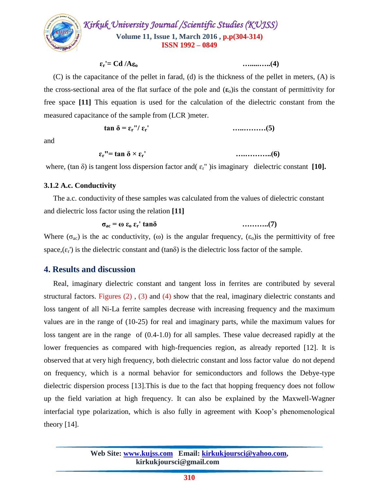

 $\epsilon_r = \text{Cd}/A\epsilon_0$  …………..(4)

 (C) is the capacitance of the pellet in farad, (d) is the thickness of the pellet in meters, (A) is the cross-sectional area of the flat surface of the pole and  $(\epsilon_0)$  is the constant of permittivity for free space **[11]** This equation is used for the calculation of the dielectric constant from the measured capacitance of the sample from (LCR )meter.

$$
\tan \delta = \varepsilon_{\rm r} \cdot \varepsilon_{\rm r} \cdot \cdots \cdot \cdots \cdot \cdot \cdot (5)
$$

and

$$
\varepsilon_{\rm r} = \tan \delta \times \varepsilon_{\rm r}
$$
 (6)

where, (tan  $\delta$ ) is tangent loss dispersion factor and( $\epsilon_r$ ") is imaginary dielectric constant [10].

#### **3.1.2 A.c. Conductivity**

 The a.c. conductivity of these samples was calculated from the values of dielectric constant and dielectric loss factor using the relation **[11]**

$$
\sigma_{ac} = \omega \varepsilon_0 \varepsilon_r' \tan \delta \qquad \qquad \ldots \ldots \ldots \ldots (7)
$$

Where  $(\sigma_{ac})$  is the ac conductivity, (ω) is the angular frequency,  $(\epsilon_0)$  is the permittivity of free space,  $(\varepsilon_r)$  is the dielectric constant and (tan $\delta$ ) is the dielectric loss factor of the sample.

### **4. Results and discussion**

 Real, imaginary dielectric constant and tangent loss in ferrites are contributed by several structural factors. Figures (2) , (3) and (4) show that the real, imaginary dielectric constants and loss tangent of all Ni-La ferrite samples decrease with increasing frequency and the maximum values are in the range of (10-25) for real and imaginary parts, while the maximum values for loss tangent are in the range of (0.4-1.0) for all samples. These value decreased rapidly at the lower frequencies as compared with high-frequencies region, as already reported [12]. It is observed that at very high frequency, both dielectric constant and loss factor value do not depend on frequency, which is a normal behavior for semiconductors and follows the Debye-type dielectric dispersion process [13].This is due to the fact that hopping frequency does not follow up the field variation at high frequency. It can also be explained by the Maxwell-Wagner interfacial type polarization, which is also fully in agreement with Koop's phenomenological theory  $[14]$ .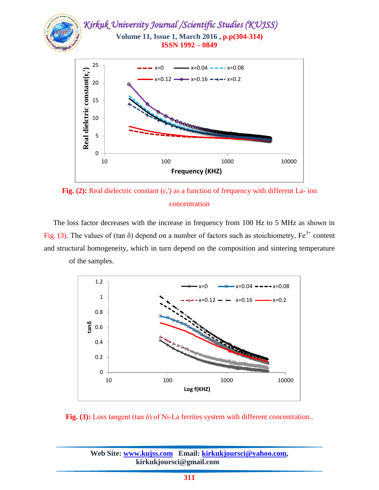

Fig. (2): Real dielectric constant  $(\varepsilon_r)$  as a function of frequency with different La- ion concentration

 The loss factor decreases with the increase in frequency from 100 Hz to 5 MHz as shown in Fig. (3). The values of (tan  $\delta$ ) depend on a number of factors such as stoichiometry, Fe<sup>3+</sup> content and structural homogeneity, which in turn depend on the composition and sintering temperature of the samples.



**Fig. (3):** Loss tangent (tan δ) of Ni-La ferrites system with different concentration..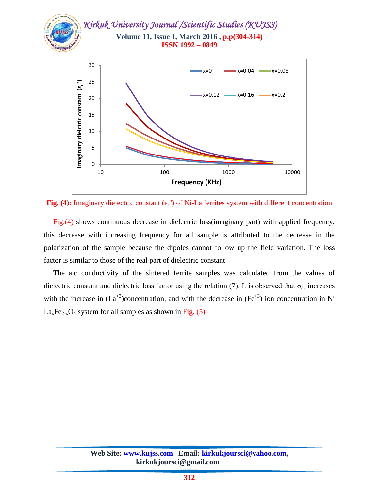

Fig. (4): Imaginary dielectric constant  $(\epsilon_{r})$  of Ni-La ferrites system with different concentration

 Fig.(4) shows continuous decrease in dielectric loss(imaginary part) with applied frequency, this decrease with increasing frequency for all sample is attributed to the decrease in the polarization of the sample because the dipoles cannot follow up the field variation. The loss factor is similar to those of the real part of dielectric constant

 The a.c conductivity of the sintered ferrite samples was calculated from the values of dielectric constant and dielectric loss factor using the relation (7). It is observed that  $\sigma_{ac}$  increases with the increase in  $(La^{+3})$ concentration, and with the decrease in  $(Fe^{+3})$  ion concentration in Ni  $La<sub>x</sub>Fe<sub>2-x</sub>O<sub>4</sub>$  system for all samples as shown in Fig. (5)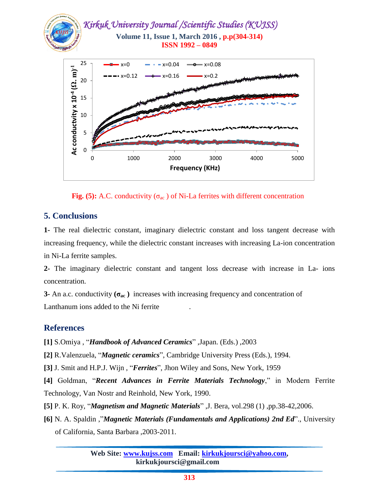

**Fig.** (5): A.C. conductivity  $(\sigma_{ac})$  of Ni-La ferrites with different concentration

# **5. Conclusions**

**1-** The real dielectric constant, imaginary dielectric constant and loss tangent decrease with increasing frequency, while the dielectric constant increases with increasing La-ion concentration in Ni-La ferrite samples.

**2-** The imaginary dielectric constant and tangent loss decrease with increase in La- ions concentration.

**3-** An a.c. conductivity  $(\sigma_{ac})$  increases with increasing frequency and concentration of Lanthanum ions added to the Ni ferrite .

# **References**

**[1]** S.Omiya , "*Handbook of Advanced Ceramics*" ,Japan. (Eds.) ,2003

**[2]** R.Valenzuela, "*Magnetic ceramics*", Cambridge University Press (Eds.), 1994.

**[3]** J. Smit and H.P.J. Wijn , "*Ferrites*", Jhon Wiley and Sons, New York, 1959

**[4]** Goldman, "*Recent Advances in Ferrite Materials Technology*," in Modern Ferrite Technology, Van Nostr and Reinhold, New York, 1990.

**[5]** P. K. Roy, "*Magnetism and Magnetic Materials*" ,J. Bera, vol.298 (1) ,pp.38-42,2006.

**[6]** N. A. Spaldin ,"*Magnetic Materials (Fundamentals and Applications) 2nd Ed*"., University of California, Santa Barbara ,2003-2011.